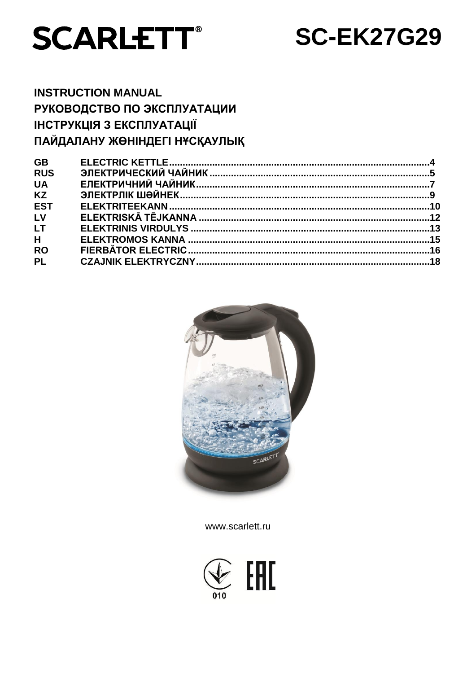

# **SC-EK27G29**

# **INSTRUCTION MANUAL** РУКОВОДСТВО ПО ЭКСПЛУАТАЦИИ ІНСТРУКЦІЯ З ЕКСПЛУАТАЦІЇ ПАЙДАЛАНУ ЖӨНІНДЕГІ НҰСҚАУЛЫҚ

| <b>GB</b>  |  |
|------------|--|
| <b>RUS</b> |  |
| <b>UA</b>  |  |
| <b>KZ</b>  |  |
| <b>EST</b> |  |
| LV         |  |
| <b>LT</b>  |  |
| H          |  |
| <b>RO</b>  |  |
| <b>PL</b>  |  |
|            |  |



www.scarlett.ru

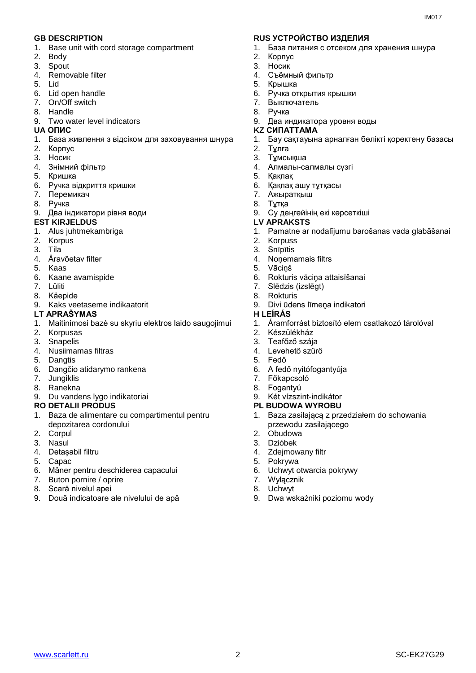- 1. Base unit with cord storage compartment
- 2. Body
- 3. Spout
- 4. Removable filter
- 5. Lid
- 6. Lid open handle
- 7. On/Off switch
- 8. Handle
- 9. Two water level indicators

- 1. База живлення з відсіком для заховування шнура
- 2. Корпус
- 3. Носик
- 4. Знiмний фільтр
- 5. Кришка
- 6. Ручка відкриття кришки
- 7. Перемикач
- 8. Ручка
- 9. Два індикатори рівня води
- **EST KIRJELDUS LV APRAKSTS**
- 1. Alus juhtmekambriga
- 2. Korpus
- 3. Tila
- 4. Äravõetav filter
- 5. Kaas
- 6. Kaane avamispide
- 7. Lüliti
- 8. Käepide
- 9. Kaks veetaseme indikaatorit

#### **LT APRAŠYMAS H LEÍRÁS**

- 1. Maitinimosi bazė su skyriu elektros laido saugojimui
- 2. Korpusas
- 3. Snapelis
- 4. Nusiimamas filtras
- 5. Dangtis
- 6. Dangčio atidarymo rankena
- 7. Jungiklis
- 8. Ranekna
- 9. Du vandens lygo indikatoriai

#### **RO DETALII PRODUS PL BUDOWA WYROBU**

- 1. Baza de alimentare cu compartimentul pentru depozitarea cordonului
- 2. Corpul
- 3. Nasul
- 4. Detașabil filtru
- 5. Capac
- 6. Mâner pentru deschiderea capacului
- 7. Buton pornire / oprire
- 8. Scară nivelul apei
- 9. Două indicatoare ale nivelului de apă

#### **GB DESCRIPTION RUS УСТРОЙСТВО ИЗДЕЛИЯ**

- 1. База питания с отсеком для хранения шнура
- 2. Корпус
- 3. Носик
- 4. Съёмный фильтр
- 5. Крышка
- 6. Ручка открытия крышки
- 7. Выключатель
- 8. Ручка
- 9. Два индикатора уровня воды
- **UA ОПИС KZ СИПАТТАМА**
	- 1. Бау сақтауына арналған бөлікті қоректену базасы
	- 2. Тұлға
	- 3. Тұмсықша
	- 4. Алмалы-салмалы сүзгі
	- 5. Қақпақ
	- 6. Қақпақ ашу тұтқасы
	- 7. Ажыратқыш
	- 8. Тұтқа
	- 9. Су деңгейінің екі көрсеткіші

- 1. Pamatne ar nodalījumu barošanas vada glabāšanai
- 2. Korpuss
- 3. Snīpītis
- 4. Noņemamais filtrs
- 5. Vāciņš
- 6. Rokturis vāciņa attaisīšanai
- 7. Slēdzis (izslēgt)
- 8. Rokturis
- 9. Divi ūdens līmeņa indikatori

- 1. Áramforrást biztosító elem csatlakozó tárolóval
- 2. Készülékház
- 3. Teafőző szája
- 4. Levehető szűrő
- 5. Fedő
- 6. A fedő nyitófogantyúja
- 7. Főkapcsoló
- 8. Fogantyú
- 9. Két vízszint-indikátor
- 
- 1. Baza zasilającą z przedziałem do schowania przewodu zasilającego
- 2. Obudowa
- 3. Dzióbek
- 4. Zdejmowany filtr
- 5. Pokrywa
- 6. Uchwyt otwarcia pokrywy
- 7. Wyłącznik
- 8. Uchwyt 9. Dwa wskaźniki poziomu wody

www.scarlett.ru 2 SC-EK27G29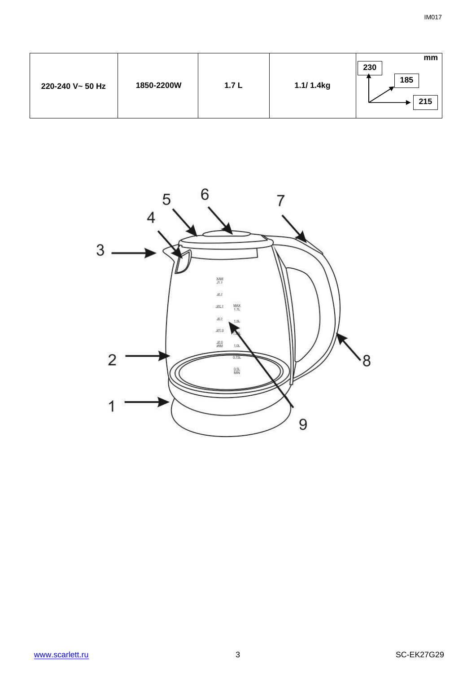| 1850-2200W<br>220-240 V~ 50 Hz | 1.7L | 1.1/ 1.4kg | mm<br>230<br>185<br>215 |
|--------------------------------|------|------------|-------------------------|
|--------------------------------|------|------------|-------------------------|

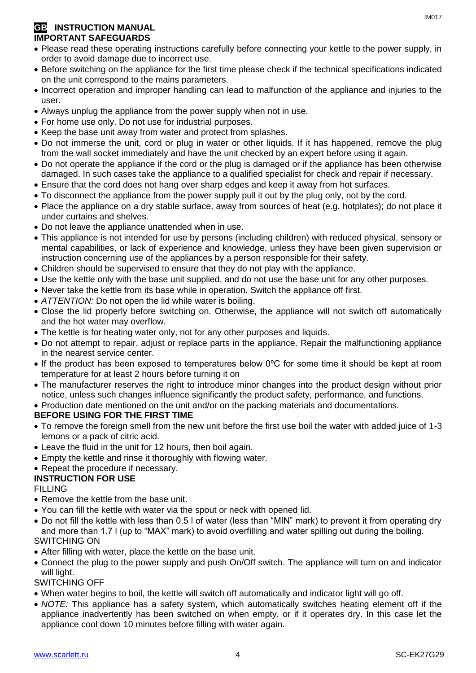# **GB** INSTRUCTION MANUAL **IMPORTANT SAFEGUARDS**

- Please read these operating instructions carefully before connecting your kettle to the power supply, in order to avoid damage due to incorrect use.
- Before switching on the appliance for the first time please check if the technical specifications indicated on the unit correspond to the mains parameters.
- Incorrect operation and improper handling can lead to malfunction of the appliance and injuries to the user.
- Always unplug the appliance from the power supply when not in use.
- For home use only. Do not use for industrial purposes.
- Keep the base unit away from water and protect from splashes.
- Do not immerse the unit, cord or plug in water or other liquids. If it has happened, remove the plug from the wall socket immediately and have the unit checked by an expert before using it again.
- Do not operate the appliance if the cord or the plug is damaged or if the appliance has been otherwise damaged. In such cases take the appliance to a qualified specialist for check and repair if necessary.
- Ensure that the cord does not hang over sharp edges and keep it away from hot surfaces.
- To disconnect the appliance from the power supply pull it out by the plug only, not by the cord.
- Place the appliance on a dry stable surface, away from sources of heat (e.g. hotplates); do not place it under curtains and shelves.
- Do not leave the appliance unattended when in use.
- This appliance is not intended for use by persons (including children) with reduced physical, sensory or mental capabilities, or lack of experience and knowledge, unless they have been given supervision or instruction concerning use of the appliances by a person responsible for their safety.
- Children should be supervised to ensure that they do not play with the appliance.
- Use the kettle only with the base unit supplied, and do not use the base unit for any other purposes.
- Never take the kettle from its base while in operation. Switch the appliance off first.
- *ATTENTION:* Do not open the lid while water is boiling.
- Close the lid properly before switching on. Otherwise, the appliance will not switch off automatically and the hot water may overflow.
- The kettle is for heating water only, not for any other purposes and liquids.
- Do not attempt to repair, adjust or replace parts in the appliance. Repair the malfunctioning appliance in the nearest service center.
- If the product has been exposed to temperatures below 0ºC for some time it should be kept at room temperature for at least 2 hours before turning it on
- The manufacturer reserves the right to introduce minor changes into the product design without prior notice, unless such changes influence significantly the product safety, performance, and functions.

• Production date mentioned on the unit and/or on the packing materials and documentations.

# **BEFORE USING FOR THE FIRST TIME**

- To remove the foreign smell from the new unit before the first use boil the water with added juice of 1-3 lemons or a pack of citric acid.
- Leave the fluid in the unit for 12 hours, then boil again.
- Empty the kettle and rinse it thoroughly with flowing water.
- Repeat the procedure if necessary.

# **INSTRUCTION FOR USE**

# FILLING

- Remove the kettle from the base unit.
- You can fill the kettle with water via the spout or neck with opened lid.
- Do not fill the kettle with less than 0.5 l of water (less than "MIN" mark) to prevent it from operating dry and more than 1.7 l (up to "MAX" mark) to avoid overfilling and water spilling out during the boiling. SWITCHING ON
- After filling with water, place the kettle on the base unit.
- Connect the plug to the power supply and push On/Off switch. The appliance will turn on and indicator will light.

# SWITCHING OFF

- When water begins to boil, the kettle will switch off automatically and indicator light will go off.
- *NOTE:* This appliance has a safety system, which automatically switches heating element off if the appliance inadvertently has been switched on when empty, or if it operates dry. In this case let the appliance cool down 10 minutes before filling with water again.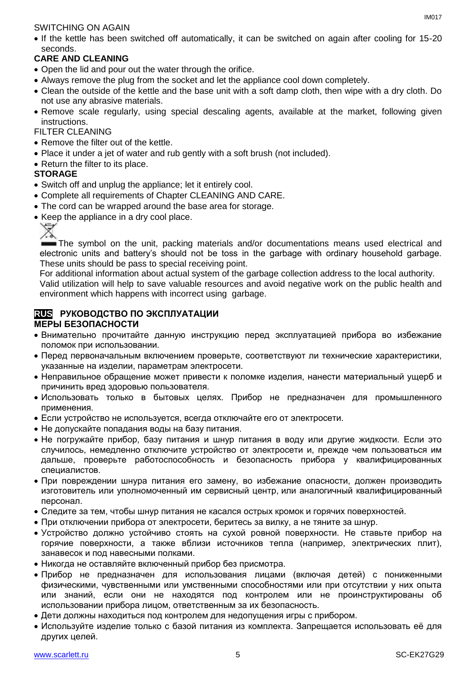### SWITCHING ON AGAIN

• If the kettle has been switched off automatically, it can be switched on again after cooling for 15-20 seconds.

# **CARE AND CLEANING**

- Open the lid and pour out the water through the orifice.
- Always remove the plug from the socket and let the appliance cool down completely.
- Clean the outside of the kettle and the base unit with a soft damp cloth, then wipe with a dry cloth. Do not use any abrasive materials.
- Remove scale regularly, using special descaling agents, available at the market, following given instructions.

### FILTER CLEANING

- Remove the filter out of the kettle.
- Place it under a jet of water and rub gently with a soft brush (not included).
- Return the filter to its place.

# **STORAGE**

- Switch off and unplug the appliance; let it entirely cool.
- Complete all requirements of Chapter CLEANING AND CARE.
- The cord can be wrapped around the base area for storage.
- Keep the appliance in a dry cool place.



The symbol on the unit, packing materials and/or documentations means used electrical and electronic units and battery's should not be toss in the garbage with ordinary household garbage. These units should be pass to special receiving point.

For additional information about actual system of the garbage collection address to the local authority.

Valid utilization will help to save valuable resources and avoid negative work on the public health and environment which happens with incorrect using garbage.

#### **RUS РУКОВОДСТВО ПО ЭКСПЛУАТАЦИИ МЕРЫ БЕЗОПАСНОСТИ**

- Внимательно прочитайте данную инструкцию перед эксплуатацией прибора во избежание поломок при использовании.
- Перед первоначальным включением проверьте, соответствуют ли технические характеристики, указанные на изделии, параметрам электросети.
- Неправильное обращение может привести к поломке изделия, нанести материальный ушерб и причинить вред здоровью пользователя.
- Использовать только в бытовых целях. Прибор не предназначен для промышленного применения.
- Если устройство не используется, всегда отключайте его от электросети.
- Не допускайте попадания воды на базу питания.
- Не погружайте прибор, базу питания и шнур питания в воду или другие жидкости. Если это случилось, немедленно отключите устройство от электросети и, прежде чем пользоваться им дальше, проверьте работоспособность и безопасность прибора у квалифицированных специалистов.
- При повреждении шнура питания его замену, во избежание опасности, должен производить изготовитель или уполномоченный им сервисный центр, или аналогичный квалифицированный персонал.
- Следите за тем, чтобы шнур питания не касался острых кромок и горячих поверхностей.
- При отключении прибора от электросети, беритесь за вилку, а не тяните за шнур.
- Устройство должно устойчиво стоять на сухой ровной поверхности. Не ставьте прибор на горячие поверхности, а также вблизи источников тепла (например, электрических плит), занавесок и под навесными полками.
- Никогда не оставляйте включенный прибор без присмотра.
- Прибор не предназначен для использования лицами (включая детей) с пониженными физическими, чувственными или умственными способностями или при отсутствии у них опыта или знаний, если они не находятся под контролем или не проинструктированы об использовании прибора лицом, ответственным за их безопасность.
- Дети должны находиться под контролем для недопущения игры с прибором.
- Используйте изделие только с базой питания из комплекта. Запрещается использовать её для других целей.

IM017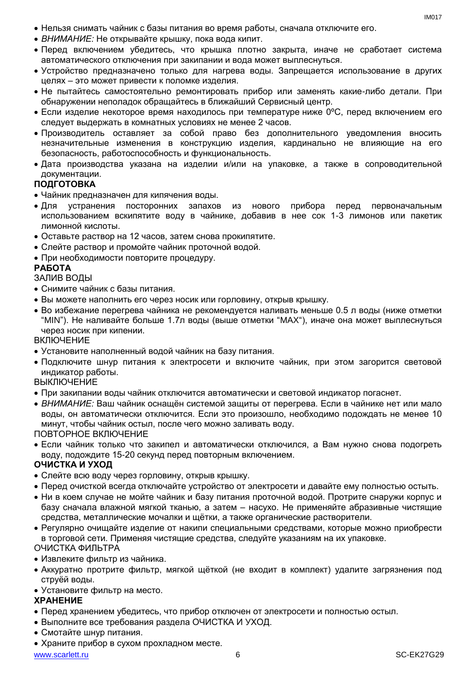- Нельзя снимать чайник с базы питания во время работы, сначала отключите его.
- *ВНИМАНИЕ:* Не открывайте крышку, пока вода кипит.
- Перед включением убедитесь, что крышка плотно закрыта, иначе не сработает система автоматического отключения при закипании и вода может выплеснуться.
- Устройство предназначено только для нагрева воды. Запрещается использование в других целях – это может привести к поломке изделия.
- Не пытайтесь самостоятельно ремонтировать прибор или заменять какие-либо детали. При обнаружении неполадок обращайтесь в ближайший Сервисный центр.
- Если изделие некоторое время находилось при температуре ниже 0ºC, перед включением его следует выдержать в комнатных условиях не менее 2 часов.
- Производитель оставляет за собой право без дополнительного уведомления вносить незначительные изменения в конструкцию изделия, кардинально не влияющие на его безопасность, работоспособность и функциональность.
- Дата производства указана на изделии и/или на упаковке, а также в сопроводительной документации.

#### **ПОДГОТОВКА**

- Чайник предназначен для кипячения воды.
- Для устранения посторонних запахов из нового прибора перед первоначальным использованием вскипятите воду в чайнике, добавив в нее сок 1-3 лимонов или пакетик лимонной кислоты.
- Оставьте раствор на 12 часов, затем снова прокипятите.
- Слейте раствор и промойте чайник проточной водой.
- При необходимости повторите процедуру.

#### **РАБОТА**

#### ЗАЛИВ ВОДЫ

- Снимите чайник с базы питания.
- Вы можете наполнить его через носик или горловину, открыв крышку.
- Во избежание перегрева чайника не рекомендуется наливать меньше 0.5 л воды (ниже отметки "MIN"). Не наливайте больше 1.7л воды (выше отметки "MAX"), иначе она может выплеснуться через носик при кипении.

#### **ВКЛЮЧЕНИЕ**

- Установите наполненный водой чайник на базу питания.
- Подключите шнур питания к электросети и включите чайник, при этом загорится световой индикатор работы.

**ВЫКЛЮЧЕНИЕ** 

- При закипании воды чайник отключится автоматически и световой индикатор погаснет.
- *ВНИМАНИЕ:* Ваш чайник оснащён системой защиты от перегрева. Если в чайнике нет или мало воды, он автоматически отключится. Если это произошло, необходимо подождать не менее 10 минут, чтобы чайник остыл, после чего можно заливать воду.

ПОВТОРНОЕ ВКЛЮЧЕНИЕ

 Если чайник только что закипел и автоматически отключился, а Вам нужно снова подогреть воду, подождите 15-20 секунд перед повторным включением.

#### **ОЧИСТКА И УХОД**

- Слейте всю воду через горловину, открыв крышку.
- Перед очисткой всегда отключайте устройство от электросети и давайте ему полностью остыть.
- Ни в коем случае не мойте чайник и базу питания проточной водой. Протрите снаружи корпус и базу сначала влажной мягкой тканью, а затем – насухо. Не применяйте абразивные чистящие средства, металлические мочалки и щётки, а также органические растворители.
- Регулярно очищайте изделие от накипи специальными средствами, которые можно приобрести в торговой сети. Применяя чистящие средства, следуйте указаниям на их упаковке. ОЧИСТКА ФИЛЬТРА

#### Извлеките фильтр из чайника.

- Аккуратно протрите фильтр, мягкой щёткой (не входит в комплект) удалите загрязнения под струёй воды.
- Установите фильтр на место.

#### **ХРАНЕНИЕ**

- Перед хранением убедитесь, что прибор отключен от электросети и полностью остыл.
- Выполните все требования раздела ОЧИСТКА И УХОД.
- Смотайте шнур питания.
- Храните прибор в сухом прохладном месте.

www.scarlett.ru 6 SC-EK27G29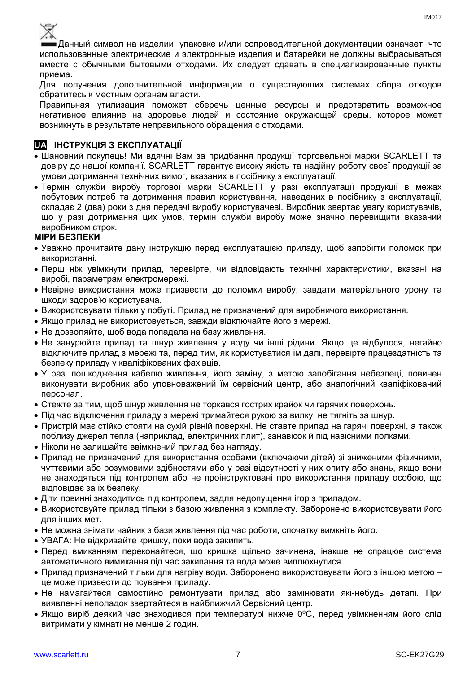

Данный символ на изделии, упаковке и/или сопроводительной документации означает, что использованные электрические и электронные изделия и батарейки не должны выбрасываться вместе с обычными бытовыми отходами. Их следует сдавать в специализированные пункты приема.

Для получения дополнительной информации о существующих системах сбора отходов обратитесь к местным органам власти.

Правильная утилизация поможет сберечь ценные ресурсы и предотвратить возможное негативное влияние на здоровье людей и состояние окружающей среды, которое может возникнуть в результате неправильного обращения с отходами.

# **UA ІНСТРУКЦІЯ З ЕКСПЛУАТАЦІЇ**

- Шановний покупець! Ми вдячні Вам за придбання продукції торговельної марки SCARLETT та довіру до нашої компанії. SCARLETT гарантує високу якість та надійну роботу своєї продукції за умови дотримання технічних вимог, вказаних в посібнику з експлуатації.
- Термін служби виробу торгової марки SCARLETT у разі експлуатації продукції в межах побутових потреб та дотримання правил користування, наведених в посібнику з експлуатації, складає 2 (два) роки з дня передачі виробу користувачеві. Виробник звертає увагу користувачів, що у разі дотримання цих умов, термін служби виробу може значно перевищити вказаний виробником строк.

#### **МІРИ БЕЗПЕКИ**

- Уважно прочитайте дану інструкцію перед експлуатацією приладу, щоб запобігти поломок при використанні.
- Перш ніж увімкнути прилад, перевірте, чи відповідають технічні характеристики, вказані на виробі, параметрам електромережі.
- Невiрне використання може призвести до поломки виробу, завдати матеріального урону та шкоди здоров'ю користувача.
- Використовувати тільки у побуті. Прилад не призначений для виробничого використання.
- Якщо прилад не використовується, завжди відключайте його з мережі.
- Не дозволяйте, щоб вода попадала на базу живлення.
- Не занурюйте прилад та шнур живлення у воду чи інші рідини. Якщо це відбулося, негайно відключите прилад з мережі та, перед тим, як користуватися їм далі, перевірте працездатність та безпеку приладу у кваліфікованих фахівців.
- У разі пошкодження кабелю живлення, його заміну, з метою запобігання небезпеці, повинен виконувати виробник або уповноважений їм сервісний центр, або аналогічний кваліфікований персонал.
- Стежте за тим, щоб шнур живлення не торкався гострих крайок чи гарячих поверхонь.
- Пiд час відключення приладу з мережі тримайтеся рукою за вилку, не тягніть за шнур.
- Пристрій має стійко стояти на сухій рiвній поверхні. Не ставте прилад на гарячі поверхні, а також поблизу джерел тепла (наприклад, електричних плит), занавісок й під навісними полками.
- Ніколи не залишайте ввімкнений прилад без нагляду.
- Прилад не призначений для використання особами (включаючи дітей) зі зниженими фізичними, чуттєвими або розумовими здібностями або у разі відсутності у них опиту або знань, якщо вони не знаходяться під контролем або не проінструктовані про використання приладу особою, що відповідає за їх безпеку.
- Діти повинні знаходитись під контролем, задля недопущення ігор з приладом.
- Використовуйте прилад тільки з базою живлення з комплекту. Заборонено використовувати його для iнших мет.
- Не можна знімати чайник з бази живлення під час роботи, спочатку вимкніть його.
- УВАГА: Не відкривайте кришку, поки вода закипить.
- Перед вмиканням переконайтеся, що кришка щільно зачинена, інакше не спрацюе система автоматичного вимикання пiд час закипання та вода може виплюхнутися.
- Прилад призначений тільки для нагріву води. Заборонено використовувати його з іншою метою це може призвести до псування приладу.
- Не намагайтеся самостійно ремонтувати прилад або замінювати які-небудь деталі. При виявленні неполадок звертайтеся в найближчий Сервісний центр.
- Якщо виріб деякий час знаходився при температурі нижче 0ºC, перед увімкненням його слід витримати у кімнаті не менше 2 годин.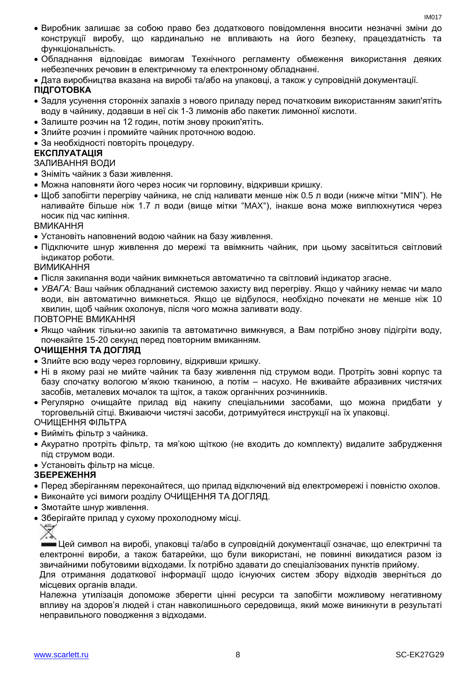- Виробник залишає за собою право без додаткового повідомлення вносити незначні зміни до конструкції виробу, що кардинально не впливають на його безпеку, працездатність та функціональність.
- Обладнання відповідає вимогам Технічного регламенту обмеження використання деяких небезпечних речовин в електричному та електронному обладнанні.
- Дата виробництва вказана на виробі та/або на упаковці, а також у супровідній документації.

# **ПІДГОТОВКА**

- Задля усунення сторонніх запахів з нового приладу перед початковим використанням закип'ятіть воду в чайнику, додавши в неї сік 1-3 лимонів або пакетик лимонної кислоти.
- Залиште розчин на 12 годин, потім знову прокип'ятіть.
- Злийте розчин і промийте чайник проточною водою.
- За необхідності повторіть процедуру.

### **ЕКСПЛУАТАЦІЯ**

### ЗАЛИВАННЯ ВОДИ

- Зніміть чайник з бази живлення.
- Можна наповняти його через носик чи горловину, відкривши кришку.
- Щоб запобігти перегріву чайника, не слiд наливати менше ніж 0.5 л води (нижче мітки "MIN"). Не наливайте більше ніж 1.7 л води (вище мітки "MAX"), інакше вона може виплюхнутися через носик пiд час кипіння.

ВМИКАННЯ

- Установіть наповнений водою чайник на базу живлення.
- Підключите шнур живлення до мережі та ввімкнить чайник, при цьому засвітиться світловий індикатор роботи.

ВИМИКАННЯ

- Після закипання води чайник вимкнеться автоматично та світловий індикатор згасне.
- *УВАГА:* Ваш чайник обладнаний системою захисту вид перегріву. Якщо у чайнику немає чи мало води, він автоматично вимкнеться. Якщо це відбулося, необхідно почекати не менше ніж 10 хвилин, щоб чайник охолонув, після чого можна заливати воду.

ПОВТОРНЕ ВМИКАННЯ

 Якщо чайник тільки-но закипів та автоматично вимкнувся, а Вам потрібно знову підігріти воду, почекайте 15-20 секунд перед повторним вмиканням.

# **ОЧИЩЕННЯ ТА ДОГЛЯД**

- Злийте всю воду через горловину, відкривши кришку.
- Ні в якому разі не мийте чайник та базу живлення під струмом води. Протріть зовні корпус та базу спочатку вологою м'якою тканиною, а потім – насухо. Не вживайте абразивних чистячих засобів, металевих мочалок та щіток, а також органічних розчинників.
- Регулярно очищайте прилад від накипу спеціальними засобами, що можна придбати у торговельній сітці. Вживаючи чистячі засоби, дотримуйтеся инструкції на їх упаковці. ОЧИЩЕННЯ ФІЛЬТРА
- Вийміть фільтр з чайника.
- Акуратно протріть фільтр, та мя'кою щіткою (не входить до комплекту) видалите забрудження під струмом води.
- Установіть фільтр на місце.

# **ЗБЕРЕЖЕННЯ**

- Перед зберіганням переконайтеся, що прилад відключений від електромережі і повністю охолов.
- Виконайте усі вимоги розділу ОЧИЩЕННЯ ТА ДОГЛЯД.
- Змотайте шнур живлення.
- Зберігайте прилад у сухому прохолодному місці.



Цей символ на виробі, упаковці та/або в супровідній документації означає, що електричні та електронні вироби, а також батарейки, що були використані, не повинні викидатися разом із звичайними побутовими відходами. Їх потрібно здавати до спеціалізованих пунктів прийому.

Для отримання додаткової інформації щодо існуючих систем збору відходів зверніться до місцевих органів влади.

Належна утилізація допоможе зберегти цінні ресурси та запобігти можливому негативному впливу на здоров'я людей і стан навколишнього середовища, який може виникнути в результаті неправильного поводження з відходами.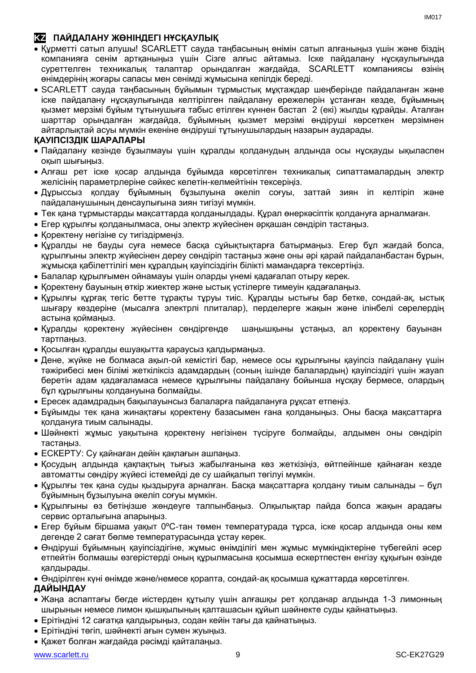# **KZ ПАЙДАЛАНУ ЖӨНІНДЕГІ НҰСҚАУЛЫҚ**

- Құрметті сатып алушы! SCARLETT сауда таңбасының өнімін сатып алғаныңыз үшін және біздің компанияға сенім артқаныңыз үшін Сізге алғыс айтамыз. Іске пайдалану нұсқаулығында суреттелген техникалық талаптар орындалған жағдайда, SCARLETT компаниясы өзінің өнімдерінің жоғары сапасы мен сенімді жұмысына кепілдік береді.
- SCARLETT сауда таңбасының бұйымын тұрмыстық мұқтаждар шеңберінде пайдаланған және іске пайдалану нұсқаулығында келтірілген пайдалану ережелерін ұстанған кезде, бұйымның қызмет мерзімі бұйым тұтынушыға табыс етілген күннен бастап 2 (екі) жылды құрайды. Аталған шарттар орындалған жағдайда, бұйымның қызмет мерзімі өндіруші көрсеткен мерзімнен айтарлықтай асуы мүмкін екеніне өндіруші тұтынушылардың назарын аударады.

# **ҚАУІПСІЗДІК ШАРАЛАРЫ**

- Пайдалану кезінде бұзылмауы үшін құралды қолданудың алдында осы нұсқауды ықыласпен оқып шығыңыз.
- Алғаш рет іске қосар алдында бұйымда көрсетілген техникалық сипаттамалардың электр желісінің параметрлеріне сәйкес келетін-келмейтінін тексеріңіз.
- Дұрыссыз қолдау бұйымның бұзылуына әкеліп соғуы, заттай зиян іп келтіріп және пайдаланушының денсаулығына зиян тигізуі мүмкін.
- Тек қана тұрмыстарды мақсаттарда қолданылдады. Құрал өнеркәсіптік қолдануға арналмаған.
- Егер құрылғы қолданылмаса, оны электр жүйесінен әрқашан сөндіріп тастаңыз.
- Қоректену негізіне су тигіздірмеңіз.
- Құралды не бауды суға немесе басқа сұйықтықтарға батырмаңыз. Егер бұл жағдай болса, құрылғыны электр жүйесінен дереу сөндіріп тастаңыз және оны әрі қарай пайдаланбастан бұрын, жұмысқа қабілеттілігі мен құралдың қауіпсіздігін білікті мамандарға тексертіңіз.
- Балалар құрылғымен ойнамауы үшін оларды үнемі қадағалап отыру керек.
- Қоректену бауының өткір жиектер және ыстық үстілерге тимеуін қадағалаңыз.
- Құрылғы құрғақ тегіс бетте тұрақты тұруы тиіс. Құралды ыстығы бар бетке, сондай-ақ, ыстық шығару көздеріне (мысалға электрлі плиталар), перделерге жақын және ілінбелі сөрелердің астына қоймаңыз.
- Құралды қоректену жүйесінен сөндіргенде шаңышқыны ұстаңыз, ал қоректену бауынан тартпаңыз.
- Қосылған құралды ешуақытта қараусыз қалдырмаңыз.
- Дене, жүйке не болмаса ақыл-ой кемістігі бар, немесе осы құрылғыны қауіпсіз пайдалану үшін тәжірибесі мен білімі жеткіліксіз адамдардың (соның ішінде балалардың) қауіпсіздігі үшін жауап беретін адам қадағаламаса немесе құрылғыны пайдалану бойынша нұсқау бермесе, олардың бұл құрылғыны қолдануына болмайды.
- Ересек адамдрадың бақылауынсыз балаларға пайдалануға рұқсат етпеңіз.
- Бұйымды тек қана жинақтағы қоректену базасымен ғана қолданыңыз. Оны басқа мақсаттарға қолдануға тиым салынады.
- Шәйнекті жұмыс уақытына қоректену негізінен түсіруге болмайды, алдымен оны сөндіріп тастаңыз.
- ЕСКЕРТУ: Су қайнаған дейін қақпағын ашпаңыз.
- Қосудың алдында қақпақтың тығыз жабылғанына көз жеткізіңіз, өйтпейінше қайнаған кезде автоматты сөндіру жүйесі істемейді де су шайқалып төгілуі мүмкін.
- Құрылғы тек қана суды қыздыруға арналған. Басқа мақсаттарға қолдану тиым салынады бұл бұйымның бұзылуына әкеліп соғуы мүмкін.
- Құрылғыны өз бетіңізше жөндеуге талпынбаңыз. Олқылықтар пайда болса жақын арадағы сервис орталығына апарыңыз.
- Егер бұйым біршама уақыт 0ºC-тан төмен температурада тұрса, іске қосар алдында оны кем дегенде 2 сағат бөлме температурасында ұстау керек.
- Өндіруші бұйымның қауіпсіздігіне, жұмыс өнімділігі мен жұмыс мүмкіндіктеріне түбегейлі әсер етпейтін болмашы өзгерістерді оның құрылмасына қосымша ескертпестен енгізу құқығын өзінде қалдырады.

Өндірілген күні өнімде және/немесе қорапта, сондай-ақ қосымша құжаттарда көрсетілген.

#### **ДАЙЫНДАУ**

- Жаңа аспаптағы бөгде иістерден құтылу үшін алғашқы рет қолданар алдында 1-3 лимонның шырынын немесе лимон қышқылының қалташасын құйып шәйнекте суды қайнатыңыз.
- Ерітіндіні 12 сағатқа қалдырыңыз, содан кейін тағы да қайнатыңыз.
- Ерітіндіні төгіп, шәйнекті ағын сумен жуыңыз.
- Қажет болған жағдайда рәсімді қайталаңыз.

IM<sub>017</sub>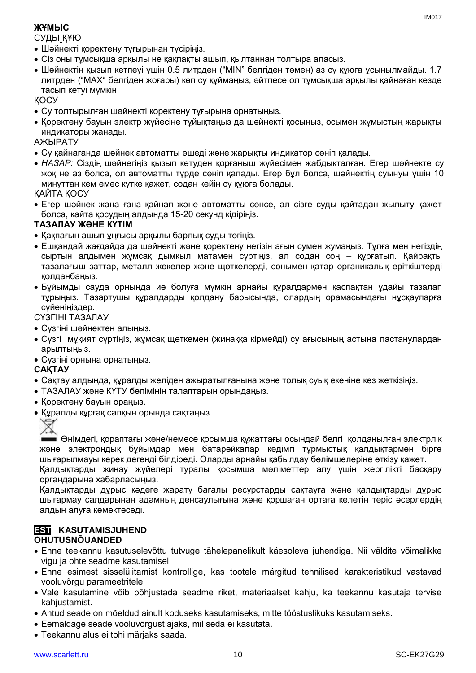# **ЖҰМЫС**

СУДЫ ҚҰЮ

- Шәйнекті қоректену тұғырынан түсіріңіз.
- Сіз оны тұмсықша арқылы не қақпақты ашып, қылтаннан толтыра алаcыз.
- Шәйнектің қызып кетпеуі үшін 0.5 литрден ("MIN" белгіден төмен) аз су құюға ұсынылмайды. 1.7 литрден ("MAX" белгіден жоғары) көп су құймаңыз, әйтпесе ол тұмсықша арқылы қайнаған кезде тасып кетуі мүмкін.

ҚОСУ

- Су толтырылған шәйнекті қоректену тұғырына орнатыңыз.
- Қоректену бауын электр жүйесіне тұйықтаңыз да шәйнекті қосыңыз, осымен жұмыстың жарықты индикаторы жанады.

АЖЫРАТУ

- Су қайнағанда шәйнек автоматты өшеді және жарықты индикатор сөніп қалады.
- *НАЗАР:* Сіздің шәйнегіңіз қызып кетуден қорғаныш жүйесімен жабдықталған. Егер шәйнекте су жоқ не аз болса, ол автоматты түрде сөніп қалады. Егер бұл болса, шәйнектің суынуы үшін 10 минуттан кем емес күтке қажет, содан кейін су құюға болады.

ҚАЙТА ҚОСУ

 Егер шәйнек жаңа ғана қайнап және автоматты сөнсе, ал сізге суды қайтадан жылыту қажет болса, қайта қосудың алдында 15-20 секунд кідіріңіз.

# **ТАЗАЛАУ ЖӘНЕ КҮТІМ**

- Қақпағын ашып ұңғысы арқылы барлық суды төгіңіз.
- Ешқандай жағдайда да шәйнекті және қоректену негізін ағын сумен жумаңыз. Тұлға мен негіздің сыртын алдымен жұмсақ дымқыл матамен сүртіңіз, ал содан соң – құрғатып. Қайрақты тазалағыш заттар, металл жөкелер және щөткелерді, сонымен қатар органикалық еріткіштерді қолданбаңыз.
- Бұйымды сауда орнында ие болуға мүмкін арнайы құралдармен қаспақтан ұдайы тазалап тұрыңыз. Тазартушы құралдарды қолдану барысында, олардың орамасындағы нұсқауларға сүйеніңіздер.

### СҮЗГІНІ ТАЗАЛАУ

- Сүзгіні шәйнектен алыңыз.
- Сүзгі мұқият сүртіңіз, жұмсақ щөткемен (жинаққа кірмейді) су ағысының астына ластанулардан арылтыңыз.
- Сүзгіні орнына орнатыңыз.

# **САҚТАУ**

- Cақтау алдында, құралды желіден ажыратылғанына және толық суық екеніне көз жеткізіңіз.
- ТАЗАЛАУ және КҮТУ бөлімінің талаптарын орындаңыз.
- Қоректену бауын ораңыз.
- Құралды құрғақ салқын орында сақтаңыз.



Өнімдегі, қораптағы және/немесе қосымша құжаттағы осындай белгі қолданылған электрлік және электрондық бұйымдар мен батарейкалар кәдімгі тұрмыстық қалдықтармен бірге шығарылмауы керек дегенді білдіреді. Оларды арнайы қабылдау бөлімшелеріне өткізу қажет.

Қалдықтарды жинау жүйелері туралы қосымша мәліметтер алу үшін жергілікті басқару органдарына хабарласыңыз.

Қалдықтарды дұрыс кәдеге жарату бағалы ресурстарды сақтауға және қалдықтарды дұрыс шығармау салдарынан адамның денсаулығына және қоршаған ортаға келетін теріс әсерлердің алдын алуға көмектеседі.

### **EST KASUTAMISJUHEND OHUTUSNÕUANDED**

- Enne teekannu kasutuselevõttu tutvuge tähelepanelikult käesoleva juhendiga. Nii väldite võimalikke vigu ja ohte seadme kasutamisel.
- Enne esimest sisselülitamist kontrollige, kas tootele märgitud tehnilised karakteristikud vastavad vooluvõrgu parameetritele.
- Vale kasutamine võib põhjustada seadme riket, materiaalset kahju, ka teekannu kasutaja tervise kahjustamist.
- Antud seade on mõeldud ainult koduseks kasutamiseks, mitte tööstuslikuks kasutamiseks.
- Eemaldage seade vooluvõrgust ajaks, mil seda ei kasutata.
- Teekannu alus ei tohi märjaks saada.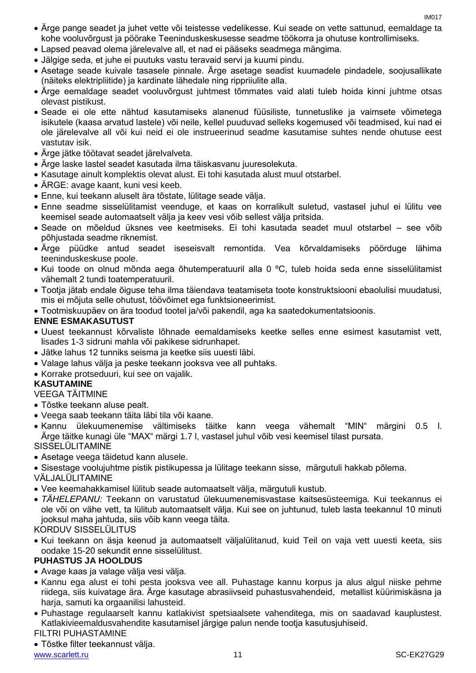- Ärge pange seadet ja juhet vette või teistesse vedelikesse. Kui seade on vette sattunud, eemaldage ta kohe vooluvõrgust ja pöörake Teeninduskeskusesse seadme töökorra ja ohutuse kontrollimiseks.
- Lapsed peavad olema järelevalve all, et nad ei pääseks seadmega mängima.
- Jälgige seda, et juhe ei puutuks vastu teravaid servi ja kuumi pindu.
- Asetage seade kuivale tasasele pinnale. Ärge asetage seadist kuumadele pindadele, soojusallikate (näiteks elektripliitide) ja kardinate lähedale ning rippriiulite alla.
- Ärge eemaldage seadet vooluvõrgust juhtmest tõmmates vaid alati tuleb hoida kinni juhtme otsas olevast pistikust.
- Seade ei ole ette nähtud kasutamiseks alanenud füüsiliste, tunnetuslike ja vaimsete võimetega isikutele (kaasa arvatud lastele) või neile, kellel puuduvad selleks kogemused või teadmised, kui nad ei ole järelevalve all või kui neid ei ole instrueerinud seadme kasutamise suhtes nende ohutuse eest vastutav isik.
- Ärge jätke töötavat seadet järelvalveta.
- Ärge laske lastel seadet kasutada ilma täiskasvanu juuresolekuta.
- Kasutage ainult komplektis olevat alust. Ei tohi kasutada alust muul otstarbel.
- ÄRGE: avage kaant, kuni vesi keeb.
- Enne, kui teekann aluselt ära tõstate, lülitage seade välja.
- Enne seadme sisselülitamist veenduge, et kaas on korralikult suletud, vastasel juhul ei lülitu vee keemisel seade automaatselt välja ja keev vesi võib sellest välja pritsida.
- Seade on mõeldud üksnes vee keetmiseks. Ei tohi kasutada seadet muul otstarbel see võib põhjustada seadme riknemist.
- Ärge püüdke antud seadet iseseisvalt remontida. Vea kõrvaldamiseks pöörduge lähima teeninduskeskuse poole.
- Kui toode on olnud mõnda aega õhutemperatuuril alla 0 ºC, tuleb hoida seda enne sisselülitamist vähemalt 2 tundi toatemperatuuril.
- Tootja jätab endale õiguse teha ilma täiendava teatamiseta toote konstruktsiooni ebaolulisi muudatusi, mis ei mõjuta selle ohutust, töövõimet ega funktsioneerimist.

Tootmiskuupäev on ära toodud tootel ja/või pakendil, aga ka saatedokumentatsioonis.

#### **ENNE ESMAKASUTUST**

- Uuest teekannust kõrvaliste lõhnade eemaldamiseks keetke selles enne esimest kasutamist vett, lisades 1-3 sidruni mahla või pakikese sidrunhapet.
- Jätke lahus 12 tunniks seisma ja keetke siis uuesti läbi.
- Valage lahus välja ja peske teekann jooksva vee all puhtaks.
- Korrake protseduuri, kui see on vajalik.

# **KASUTAMINE**

VEEGA TÄITMINE

- Tõstke teekann aluse pealt.
- Veega saab teekann täita läbi tila või kaane.
- Kannu ülekuumenemise vältimiseks täitke kann veega vähemalt "MIN" märgini 0.5 l. Ärge täitke kunagi üle "MAX" märgi 1.7 l, vastasel juhul võib vesi keemisel tilast pursata.

SISSELÜLITAMINE

- Asetage veega täidetud kann alusele.
- Sisestage voolujuhtme pistik pistikupessa ja lülitage teekann sisse, märgutuli hakkab põlema.

VÄLJALÜLITAMINE

- Vee keemahakkamisel lülitub seade automaatselt välja, märgutuli kustub.
- *TÄHELEPANU:* Teekann on varustatud ülekuumenemisvastase kaitsesüsteemiga. Kui teekannus ei ole või on vähe vett, ta lülitub automaatselt välja. Kui see on juhtunud, tuleb lasta teekannul 10 minuti jooksul maha jahtuda, siis võib kann veega täita.

KORDUV SISSELÜLITUS

 Kui teekann on äsja keenud ja automaatselt väljalülitanud, kuid Teil on vaja vett uuesti keeta, siis oodake 15-20 sekundit enne sisselülitust.

# **PUHASTUS JA HOOLDUS**

- Avage kaas ja valage välja vesi välja.
- Kannu ega alust ei tohi pesta jooksva vee all. Puhastage kannu korpus ja alus algul niiske pehme riidega, siis kuivatage ära. Ärge kasutage abrasiivseid puhastusvahendeid, metallist küürimiskäsna ja harja, samuti ka orgaanilisi lahusteid.
- Puhastage regulaarselt kannu katlakivist spetsiaalsete vahenditega, mis on saadavad kauplustest. Katlakivieemaldusvahendite kasutamisel järgige palun nende tootja kasutusjuhiseid. FILTRI PUHASTAMINE

Tõstke filter teekannust välja.

www.scarlett.ru 11 November 2020 and the set of the set of the set of the set of the set of the set of the set of the set of the set of the set of the set of the set of the set of the set of the set of the set of the set o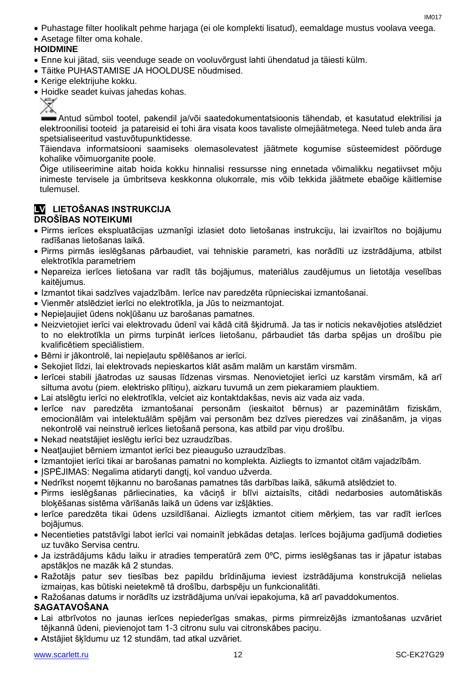- Puhastage filter hoolikalt pehme harjaga (ei ole komplekti lisatud), eemaldage mustus voolava veega.
- Asetage filter oma kohale.

# **HOIDMINE**

- Enne kui jätad, siis veenduge seade on vooluvõrgust lahti ühendatud ja täiesti külm.
- Täitke PUHASTAMISE JA HOOLDUSE nõudmised.
- Kerige elektrijuhe kokku.
- Hoidke seadet kuivas jahedas kohas.

Antud sümbol tootel, pakendil ja/või saatedokumentatsioonis tähendab, et kasutatud elektrilisi ja elektroonilisi tooteid ja patareisid ei tohi ära visata koos tavaliste olmejäätmetega. Need tuleb anda ära spetsialiseeritud vastuvõtupunktidesse.

Täiendava informatsiooni saamiseks olemasolevatest jäätmete kogumise süsteemidest pöörduge kohalike võimuorganite poole.

Õige utiliseerimine aitab hoida kokku hinnalisi ressursse ning ennetada võimalikku negatiivset mõju inimeste tervisele ja ümbritseva keskkonna olukorrale, mis võib tekkida jäätmete ebaõige käitlemise tulemusel.

#### **LV LIETOŠANAS INSTRUKCIJA DROŠĪBAS NOTEIKUMI**

- Pirms ierīces ekspluatācijas uzmanīgi izlasiet doto lietošanas instrukciju, lai izvairītos no bojājumu radīšanas lietošanas laikā.
- Pirms pirmās ieslēgšanas pārbaudiet, vai tehniskie parametri, kas norādīti uz izstrādājuma, atbilst elektrotīkla parametriem
- Nepareiza ierīces lietošana var radīt tās bojājumus, materiālus zaudējumus un lietotāja veselības kaitējumus.
- Izmantot tikai sadzīves vajadzībām. Ierīce nav paredzēta rūpnieciskai izmantošanai.
- Vienmēr atslēdziet ierīci no elektrotīkla, ja Jūs to neizmantojat.
- Nepieļaujiet ūdens nokļūšanu uz barošanas pamatnes.
- Neizvietojiet ierīci vai elektrovadu ūdenī vai kādā citā šķidrumā. Ja tas ir noticis nekavējoties atslēdziet to no elektrotīkla un pirms turpināt ierīces lietošanu, pārbaudiet tās darba spējas un drošību pie kvalificētiem speciālistiem.
- Bērni ir jākontrolē, lai nepieļautu spēlēšanos ar ierīci.
- Sekojiet līdzi, lai elektrovads nepieskartos klāt asām malām un karstām virsmām.
- Ierīcei stabili jāatrodas uz sausas līdzenas virsmas. Nenovietojiet ierīci uz karstām virsmām, kā arī siltuma avotu (piem. elektrisko plītiņu), aizkaru tuvumā un zem piekaramiem plauktiem.
- Lai atslēgtu ierīci no elektrotīkla, velciet aiz kontaktdakšas, nevis aiz vada aiz vada.
- Ierīce nav paredzēta izmantošanai personām (ieskaitot bērnus) ar pazeminātām fiziskām, emocionālām vai intelektuālām spējām vai personām bez dzīves pieredzes vai zināšanām, ja viņas nekontrolē vai neinstruē ierīces lietošanā persona, kas atbild par viņu drošību.
- Nekad neatstājiet ieslēgtu ierīci bez uzraudzības.
- Neatļaujiet bērniem izmantot ierīci bez pieaugušo uzraudzības.
- Izmantojiet ierīci tikai ar barošanas pamatni no komplekta. Aizliegts to izmantot citām vajadzībām.
- JSPĖJIMAS: Negalima atidaryti dangtį, kol vanduo užverda.
- Nedrīkst noņemt tējkannu no barošanas pamatnes tās darbības laikā, sākumā atslēdziet to.
- Pirms ieslēgšanas pārliecinaties, ka vāciņš ir blīvi aiztaisīts, citādi nedarbosies automātiskās bloķēšanas sistēma vārīšanās laikā un ūdens var izšļākties.
- Ierīce paredzēta tikai ūdens uzsildīšanai. Aizliegts izmantot citiem mērķiem, tas var radīt ierīces bojājumus.
- Necentieties patstāvīgi labot ierīci vai nomainīt jebkādas detaļas. Ierīces bojājuma gadījumā dodieties uz tuvāko Servisa centru.
- Ja izstrādājums kādu laiku ir atradies temperatūrā zem 0ºC, pirms ieslēgšanas tas ir jāpatur istabas apstākļos ne mazāk kā 2 stundas.
- Ražotājs patur sev tiesības bez papildu brīdinājuma ieviest izstrādājuma konstrukcijā nelielas izmaiņas, kas būtiski neietekmē tā drošību, darbspēju un funkcionalitāti.
- Ražošanas datums ir norādīts uz izstrādājuma un/vai iepakojuma, kā arī pavaddokumentos.

# **SAGATAVOŠANA**

- Lai atbrīvotos no jaunas ierīces nepiederīgas smakas, pirms pirmreizējās izmantošanas uzvāriet tējkannā ūdeni, pievienojot tam 1-3 citronu sulu vai citronskābes paciņu.
- Atstājiet šķīdumu uz 12 stundām, tad atkal uzvāriet.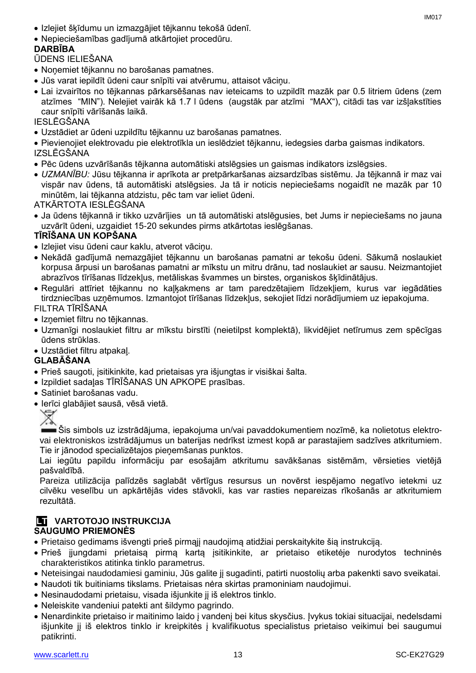- Izlejiet šķīdumu un izmazgājiet tējkannu tekošā ūdenī.
- Nepieciešamības gadījumā atkārtojiet procedūru.

# **DARBĪBA**

ŪDENS IELIEŠANA

- Noņemiet tējkannu no barošanas pamatnes.
- Jūs varat iepildīt ūdeni caur snīpīti vai atvērumu, attaisot vāciņu.
- Lai izvairītos no tējkannas pārkarsēšanas nav ieteicams to uzpildīt mazāk par 0.5 litriem ūdens (zem atzīmes "MIN"). Nelejiet vairāk kā 1.7 l ūdens (augstāk par atzīmi "MAX"), citādi tas var izšļakstīties caur snīpīti vārīšanās laikā.

IESLĒGŠANA

- Uzstādiet ar ūdeni uzpildītu tējkannu uz barošanas pamatnes.
- Pievienojiet elektrovadu pie elektrotīkla un ieslēdziet tējkannu, iedegsies darba gaismas indikators. IZSLĒGŠANA
- Pēc ūdens uzvārīšanās tējkanna automātiski atslēgsies un gaismas indikators izslēgsies.
- *UZMANĪBU:* Jūsu tējkanna ir aprīkota ar pretpārkaršanas aizsardzības sistēmu. Ja tējkannā ir maz vai vispār nav ūdens, tā automātiski atslēgsies. Ja tā ir noticis nepieciešams nogaidīt ne mazāk par 10 minūtēm, lai tējkanna atdzistu, pēc tam var ieliet ūdeni.

ATKĀRTOTA IESLĒGŠANA

 Ja ūdens tējkannā ir tikko uzvārījies un tā automātiski atslēgusies, bet Jums ir nepieciešams no jauna uzvārīt ūdeni, uzgaidiet 15-20 sekundes pirms atkārtotas ieslēgšanas.

# **TĪRĪŠANA UN KOPŠANA**

- Izlejiet visu ūdeni caur kaklu, atverot vāciņu.
- Nekādā gadījumā nemazgājiet tējkannu un barošanas pamatni ar tekošu ūdeni. Sākumā noslaukiet korpusa ārpusi un barošanas pamatni ar mīkstu un mitru drānu, tad noslaukiet ar sausu. Neizmantojiet abrazīvos tīrīšanas līdzekļus, metāliskas švammes un birstes, organiskos šķīdinātājus.
- Regulāri attīriet tējkannu no kaļķakmens ar tam paredzētajiem līdzekļiem, kurus var iegādāties tirdzniecības uzņēmumos. Izmantojot tīrīšanas līdzekļus, sekojiet līdzi norādījumiem uz iepakojuma. FILTRA TĪRĪŠANA
- Izņemiet filtru no tējkannas.
- Uzmanīgi noslaukiet filtru ar mīkstu birstīti (neietilpst komplektā), likvidējiet netīrumus zem spēcīgas ūdens strūklas.
- Uzstādiet filtru atpakaļ.

# **GLABĀŠANA**

- Prieš saugoti, įsitikinkite, kad prietaisas yra išjungtas ir visiškai šalta.
- Izpildiet sadaļas TĪRĪŠANAS UN APKOPE prasības.
- Satiniet barošanas vadu.
- Ierīci glabājiet sausā, vēsā vietā.



Šis simbols uz izstrādājuma, iepakojuma un/vai pavaddokumentiem nozīmē, ka nolietotus elektrovai elektroniskos izstrādājumus un baterijas nedrīkst izmest kopā ar parastajiem sadzīves atkritumiem. Tie ir jānodod specializētajos pieņemšanas punktos.

Lai iegūtu papildu informāciju par esošajām atkritumu savākšanas sistēmām, vērsieties vietējā pašvaldībā.

Pareiza utilizācija palīdzēs saglabāt vērtīgus resursus un novērst iespējamo negatīvo ietekmi uz cilvēku veselību un apkārtējās vides stāvokli, kas var rasties nepareizas rīkošanās ar atkritumiem rezultātā.

#### **LT VARTOTOJO INSTRUKCIJA SAUGUMO PRIEMONĖS**

- Prietaiso gedimams išvengti prieš pirmąjį naudojimą atidžiai perskaitykite šią instrukciją.
- Prieš įjungdami prietaisą pirmą kartą įsitikinkite, ar prietaiso etiketėje nurodytos techninės charakteristikos atitinka tinklo parametrus.
- Neteisingai naudodamiesi gaminiu, Jūs galite jį sugadinti, patirti nuostolių arba pakenkti savo sveikatai.
- Naudoti tik buitiniams tikslams. Prietaisas nėra skirtas pramoniniam naudojimui.
- Nesinaudodami prietaisu, visada išjunkite jį iš elektros tinklo.
- Neleiskite vandeniui patekti ant šildymo pagrindo.
- Nenardinkite prietaiso ir maitinimo laido į vandenį bei kitus skysčius. Įvykus tokiai situacijai, nedelsdami išjunkite jį iš elektros tinklo ir kreipkitės į kvalifikuotus specialistus prietaiso veikimui bei saugumui patikrinti.

IM017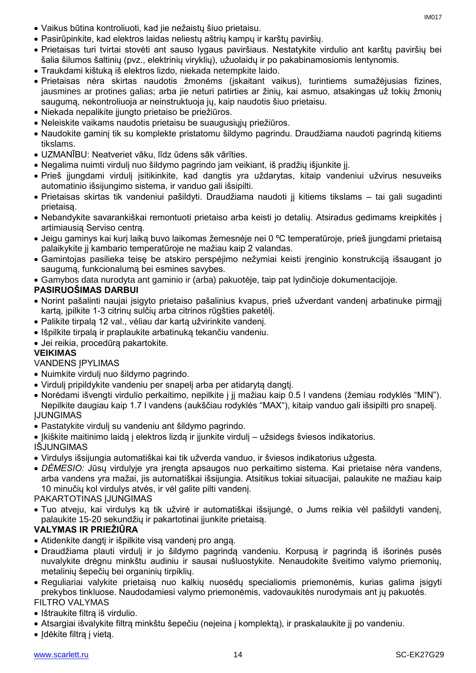- Vaikus būtina kontroliuoti, kad jie nežaistų šiuo prietaisu.
- Pasirūpinkite, kad elektros laidas neliestų aštrių kampų ir karštų paviršių.
- Prietaisas turi tvirtai stovėti ant sauso lygaus paviršiaus. Nestatykite virdulio ant karštų paviršių bei šalia šilumos šaltinių (pvz., elektrinių viryklių), užuolaidų ir po pakabinamosiomis lentynomis.
- Traukdami kištuką iš elektros lizdo, niekada netempkite laido.
- Prietaisas nėra skirtas naudotis žmonėms (įskaitant vaikus), turintiems sumažėjusias fizines, jausmines ar protines galias; arba jie neturi patirties ar žinių, kai asmuo, atsakingas už tokių žmonių saugumą, nekontroliuoja ar neinstruktuoja jų, kaip naudotis šiuo prietaisu.
- Niekada nepalikite įjungto prietaiso be priežiūros.
- Neleiskite vaikams naudotis prietaisu be suaugusiųjų priežiūros.
- Naudokite gaminį tik su komplekte pristatomu šildymo pagrindu. Draudžiama naudoti pagrindą kitiems tikslams.
- UZMANĪBU: Neatveriet vāku, līdz ūdens sāk vārīties.
- Negalima nuimti virdulį nuo šildymo pagrindo jam veikiant, iš pradžių išjunkite jį.
- Prieš įjungdami virdulį įsitikinkite, kad dangtis yra uždarytas, kitaip vandeniui užvirus nesuveiks automatinio išsijungimo sistema, ir vanduo gali išsipilti.
- Prietaisas skirtas tik vandeniui pašildyti. Draudžiama naudoti jį kitiems tikslams tai gali sugadinti prietaisą.
- Nebandykite savarankiškai remontuoti prietaiso arba keisti jo detalių. Atsiradus gedimams kreipkitės į artimiausią Serviso centrą.
- Jeigu gaminys kai kurį laiką buvo laikomas žemesnėje nei 0 ºC temperatūroje, prieš įjungdami prietaisą palaikykite jį kambario temperatūroje ne mažiau kaip 2 valandas.
- Gamintojas pasilieka teisę be atskiro perspėjimo nežymiai keisti įrenginio konstrukciją išsaugant jo saugumą, funkcionalumą bei esmines savybes.
- Gamybos data nurodyta ant gaminio ir (arba) pakuotėje, taip pat lydinčioje dokumentacijoje.

# **PASIRUOŠIMAS DARBUI**

- Norint pašalinti naujai įsigyto prietaiso pašalinius kvapus, prieš užverdant vandenį arbatinuke pirmąjį kartą, įpilkite 1-3 citrinų sulčių arba citrinos rūgšties paketėlį.
- Palikite tirpalą 12 val., vėliau dar kartą užvirinkite vandenį.
- Išpilkite tirpalą ir praplaukite arbatinuką tekančiu vandeniu.
- Jei reikia, procedūrą pakartokite.

#### **VEIKIMAS**

# VANDENS ĮPYLIMAS

- Nuimkite virdulį nuo šildymo pagrindo.
- Virdulį pripildykite vandeniu per snapelį arba per atidarytą dangtį.
- Norėdami išvengti virdulio perkaitimo, nepilkite į jį mažiau kaip 0.5 l vandens (žemiau rodyklės "MIN"). Nepilkite daugiau kaip 1.7 l vandens (aukščiau rodyklės "MAX"), kitaip vanduo gali išsipilti pro snapelį. ĮJUNGIMAS
- Pastatykite virdulį su vandeniu ant šildymo pagrindo.

Įkiškite maitinimo laidą į elektros lizdą ir įjunkite virdulį – užsidegs šviesos indikatorius.

IŠJUNGIMAS

- Virdulys išsijungia automatiškai kai tik užverda vanduo, ir šviesos indikatorius užgesta.
- *DĖMESIO:* Jūsų virdulyje yra įrengta apsaugos nuo perkaitimo sistema. Kai prietaise nėra vandens, arba vandens yra mažai, jis automatiškai išsijungia. Atsitikus tokiai situacijai, palaukite ne mažiau kaip 10 minučių kol virdulys atvės, ir vėl galite pilti vandenį.

PAKARTOTINAS ĮJUNGIMAS

 Tuo atveju, kai virdulys ką tik užvirė ir automatiškai išsijungė, o Jums reikia vėl pašildyti vandenį, palaukite 15-20 sekundžių ir pakartotinai įjunkite prietaisą.

# **VALYMAS IR PRIEŽIŪRA**

- Atidenkite dangtį ir išpilkite visą vandenį pro angą.
- Draudžiama plauti virdulį ir jo šildymo pagrindą vandeniu. Korpusą ir pagrindą iš išorinės pusės nuvalykite drėgnu minkštu audiniu ir sausai nušluostykite. Nenaudokite šveitimo valymo priemonių, metalinių šepečių bei organinių tirpiklių.
- Reguliariai valykite prietaisą nuo kalkių nuosėdų specialiomis priemonėmis, kurias galima įsigyti prekybos tinkluose. Naudodamiesi valymo priemonėmis, vadovaukitės nurodymais ant jų pakuotės.

# FILTRO VALYMAS

- Ištraukite filtra iš virdulio.
- Atsargiai išvalykite filtrą minkštu šepečiu (neįeina į komplektą), ir praskalaukite jį po vandeniu.
- Idėkite filtrą į vietą.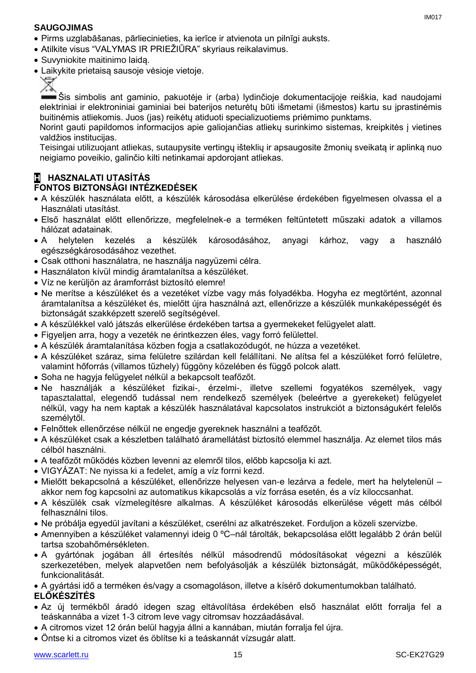### **SAUGOJIMAS**

- Pirms uzglabāšanas, pārliecinieties, ka ierīce ir atvienota un pilnīgi auksts.
- Atilkite visus "VALYMAS IR PRIEŽIŪRA" skyriaus reikalavimus.
- Suvyniokite maitinimo laidą.
- Laikykite prietaisą sausoje vėsioje vietoje.



Šis simbolis ant gaminio, pakuotėje ir (arba) lydinčioje dokumentacijoje reiškia, kad naudojami elektriniai ir elektroniniai gaminiai bei baterijos neturėtų būti išmetami (išmestos) kartu su įprastinėmis buitinėmis atliekomis. Juos (jas) reikėtų atiduoti specializuotiems priėmimo punktams.

Norint gauti papildomos informacijos apie galiojančias atliekų surinkimo sistemas, kreipkitės į vietines valdžios institucijas.

Teisingai utilizuojant atliekas, sutaupysite vertingų išteklių ir apsaugosite žmonių sveikatą ir aplinką nuo neigiamo poveikio, galinčio kilti netinkamai apdorojant atliekas.

# **H HASZNALATI UTASÍTÁS**

# **FONTOS BIZTONSÁGI INTÉZKEDÉSEK**

- A készülék használata előtt, a készülék károsodása elkerülése érdekében figyelmesen olvassa el a Használati utasítást.
- Első használat előtt ellenőrizze, megfelelnek-e a terméken feltüntetett műszaki adatok a villamos hálózat adatainak.
- A helytelen kezelés a készülék károsodásához, anyagi kárhoz, vagy a használó egészségkárosodásához vezethet.
- Csak otthoni használatra, ne használja nagyüzemi célra.
- Használaton kívül mindig áramtalanítsa a készüléket.
- Víz ne kerüljön az áramforrást biztosító elemre!
- Ne merítse a készüléket és a vezetéket vízbe vagy más folyadékba. Hogyha ez megtörtént, azonnal áramtalanítsa a készüléket és, mielőtt újra használná azt, ellenőrizze a készülék munkaképességét és biztonságát szakképzett szerelő segítségével.
- A készülékkel való játszás elkerülése érdekében tartsa a gyermekeket felügyelet alatt.
- Figyeljen arra, hogy a vezeték ne érintkezzen éles, vagy forró felülettel.
- A készülék áramtalanítása közben fogja a csatlakozódugót, ne húzza a vezetéket.
- A készüléket száraz, sima felületre szilárdan kell felállítani. Ne alítsa fel a készüléket forró felületre, valamint hőforrás (villamos tűzhely) függöny közelében és függő polcok alatt.
- Soha ne hagyja felügyelet nélkül a bekapcsolt teafőzőt.
- Ne használják a készüléket fizikai-, érzelmi-, illetve szellemi fogyatékos személyek, vagy tapasztalattal, elegendő tudással nem rendelkező személyek (beleértve a gyerekeket) felügyelet nélkül, vagy ha nem kaptak a készülék használatával kapcsolatos instrukciót a biztonságukért felelős személytől.
- Felnőttek ellenőrzése nélkül ne engedje gyereknek használni a teafőzőt.
- A készüléket csak a készletben található áramellátást biztosító elemmel használja. Az elemet tilos más célból használni.
- A teafőzőt működés közben levenni az elemről tilos, előbb kapcsolja ki azt.
- VIGYÁZAT: Ne nyissa ki a fedelet, amíg a víz forrni kezd.
- Mielőtt bekapcsolná a készüléket, ellenőrizze helyesen van-e lezárva a fedele, mert ha helytelenül akkor nem fog kapcsolni az automatikus kikapcsolás a víz forrása esetén, és a víz kiloccsanhat.
- A készülék csak vízmelegítésre alkalmas. A készüléket károsodás elkerülése végett más célból felhasználni tilos.
- Ne próbálja egyedül javítani a készüléket, cserélni az alkatrészeket. Forduljon a közeli szervizbe.
- Amennyiben a készüléket valamennyi ideig 0 ºC–nál tárolták, bekapcsolása előtt legalább 2 órán belül tartsa szobahőmérsékleten.
- A gyártónak jogában áll értesítés nélkül másodrendű módosításokat végezni a készülék szerkezetében, melyek alapvetően nem befolyásolják a készülék biztonságát, működőképességét, funkcionalitását.
- A gyártási idő a terméken és/vagy a csomagoláson, illetve a kísérő dokumentumokban található.

# **ELŐKÉSZÍTÉS**

- Az új termékből áradó idegen szag eltávolítása érdekében első használat előtt forralja fel a teáskannába a vizet 1-3 citrom leve vagy citromsav hozzáadásával.
- A citromos vizet 12 órán belül hagyja állni a kannában, miután forralja fel újra.
- Öntse ki a citromos vizet és öblítse ki a teáskannát vízsugár alatt.

IM017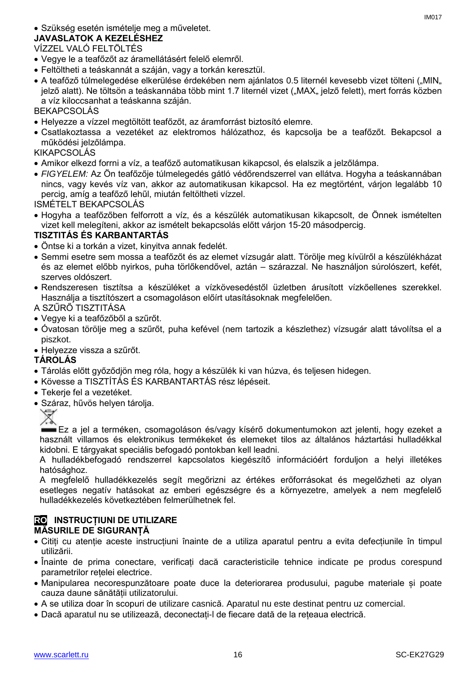# Szükség esetén ismételje meg a műveletet.

# **JAVASLATOK A KEZELÉSHEZ**

# VÍZZEL VALÓ FELTÖLTÉS

- Vegye le a teafőzőt az áramellátásért felelő elemről.
- Feltöltheti a teáskannát a száján, vagy a torkán keresztül.
- A teafőző túlmelegedése elkerülése érdekében nem ajánlatos 0.5 liternél kevesebb vizet tölteni ("MIN" jelző alatt). Ne töltsön a teáskannába több mint 1.7 liternél vizet ("MAX" jelző felett), mert forrás közben a víz kiloccsanhat a teáskanna száján.

BEKAPCSOLÁS

- Helyezze a vízzel megtöltött teafőzőt, az áramforrást biztosító elemre.
- Csatlakoztassa a vezetéket az elektromos hálózathoz, és kapcsolja be a teafőzőt. Bekapcsol a működési jelzőlámpa.

KIKAPCSOLÁS

- Amikor elkezd forrni a víz, a teafőző automatikusan kikapcsol, és elalszik a jelzőlámpa.
- *FIGYELEM:* Az Ön teafőzője túlmelegedés gátló védőrendszerrel van ellátva. Hogyha a teáskannában nincs, vagy kevés víz van, akkor az automatikusan kikapcsol. Ha ez megtörtént, várjon legalább 10 percig, amíg a teafőző lehűl, miután feltöltheti vízzel.

ISMÉTELT BEKAPCSOLÁS

 Hogyha a teafőzőben felforrott a víz, és a készülék automatikusan kikapcsolt, de Önnek ismételten vizet kell melegíteni, akkor az ismételt bekapcsolás előtt várjon 15-20 másodpercig.

# **TISZTITÁS ÉS KARBANTARTÁS**

- Öntse ki a torkán a vizet, kinyitva annak fedelét.
- Semmi esetre sem mossa a teafőzőt és az elemet vízsugár alatt. Törölje meg kívülről a készülékházat és az elemet előbb nyirkos, puha törlőkendővel, aztán – szárazzal. Ne használjon súrolószert, kefét, szerves oldószert.
- Rendszeresen tisztítsa a készüléket a vízkövesedéstől üzletben árusított vízkőellenes szerekkel. Használja a tisztítószert a csomagoláson előírt utasításoknak megfelelően.
- A SZŰRŐ TISZTITÁSA
- Vegye ki a teafőzőből a szűrőt.
- Óvatosan törölje meg a szűrőt, puha kefével (nem tartozik a készlethez) vízsugár alatt távolítsa el a piszkot.
- Helyezze vissza a szűrőt.

# **TÁROLÁS**

- Tárolás előtt győződjön meg róla, hogy a készülék ki van húzva, és teljesen hidegen.
- Kövesse a TISZTÍTÁS ÉS KARBANTARTÁS rész lépéseit.
- Tekerje fel a vezetéket.
- Száraz, hűvös helyen tárolja.



Ez a jel a terméken, csomagoláson és/vagy kísérő dokumentumokon azt jelenti, hogy ezeket a használt villamos és elektronikus termékeket és elemeket tilos az általános háztartási hulladékkal kidobni. E tárgyakat speciális befogadó pontokban kell leadni.

A hulladékbefogadó rendszerrel kapcsolatos kiegészítő információért forduljon a helyi illetékes hatósághoz.

A megfelelő hulladékkezelés segít megőrizni az értékes erőforrásokat és megelőzheti az olyan esetleges negatív hatásokat az emberi egészségre és a környezetre, amelyek a nem megfelelő hulladékkezelés következtében felmerülhetnek fel.

### **RO INSTRUCȚIUNI DE UTILIZARE MĂSURILE DE SIGURANȚĂ**

- Citiți cu atenție aceste instrucțiuni înainte de a utiliza aparatul pentru a evita defecțiunile în timpul utilizării.
- Înainte de prima conectare, verificați dacă caracteristicile tehnice indicate pe produs corespund parametrilor rețelei electrice.
- Manipularea necorespunzătoare poate duce la deteriorarea produsului, pagube materiale și poate cauza daune sănătății utilizatorului.
- A se utiliza doar în scopuri de utilizare casnică. Aparatul nu este destinat pentru uz comercial.
- Dacă aparatul nu se utilizează, deconectați-l de fiecare dată de la rețeaua electrică.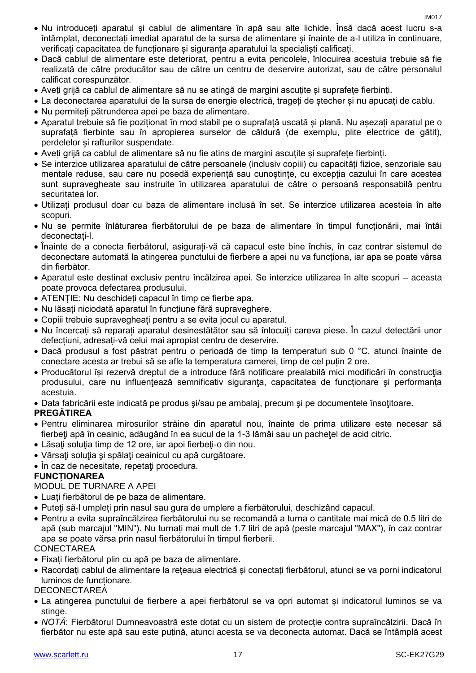- Nu introduceți aparatul și cablul de alimentare în apă sau alte lichide. Însă dacă acest lucru s-a întâmplat, deconectați imediat aparatul de la sursa de alimentare și înainte de a-l utiliza în continuare, verificați capacitatea de funcționare și siguranța aparatului la specialiști calificați.
- Dacă cablul de alimentare este deteriorat, pentru a evita pericolele, înlocuirea acestuia trebuie să fie realizată de către producător sau de către un centru de deservire autorizat, sau de către personalul calificat corespunzător.
- Aveți grijă ca cablul de alimentare să nu se atingă de margini ascuțite și suprafețe fierbinți.
- La deconectarea aparatului de la sursa de energie electrică, trageți de ștecher și nu apucați de cablu.
- Nu permiteți pătrunderea apei pe baza de alimentare.
- Aparatul trebuie să fie poziționat în mod stabil pe o suprafață uscată și plană. Nu așezați aparatul pe o suprafață fierbinte sau în apropierea surselor de căldură (de exemplu, plite electrice de gătit), perdelelor și rafturilor suspendate.
- Aveți grijă ca cablul de alimentare să nu fie atins de margini ascuțite și suprafețe fierbinți.
- Se interzice utilizarea aparatului de către persoanele (inclusiv copiii) cu capacități fizice, senzoriale sau mentale reduse, sau care nu posedă experiență sau cunoștințe, cu excepția cazului în care acestea sunt supravegheate sau instruite în utilizarea aparatului de către o persoană responsabilă pentru securitatea lor.
- Utilizați produsul doar cu baza de alimentare inclusă în set. Se interzice utilizarea acesteia în alte scopuri.
- Nu se permite înlăturarea fierbătorului de pe baza de alimentare în timpul funcționării, mai întâi deconectați-l.
- Înainte de a conecta fierbătorul, asigurați-vă că capacul este bine închis, în caz contrar sistemul de deconectare automată la atingerea punctului de fierbere a apei nu va funcționa, iar apa se poate vărsa din fierbător.
- Aparatul este destinat exclusiv pentru încălzirea apei. Se interzice utilizarea în alte scopuri aceasta poate provoca defectarea produsului.
- ATENȚIE: Nu deschideți capacul în timp ce fierbe apa.
- Nu lăsați niciodată aparatul în funcțiune fără supraveghere.
- Copiii trebuie supravegheați pentru a se evita jocul cu aparatul.
- Nu încercați să reparați aparatul desinestătător sau să înlocuiți careva piese. În cazul detectării unor defecțiuni, adresați-vă celui mai apropiat centru de deservire.
- Dacă produsul a fost păstrat pentru o perioadă de timp la temperaturi sub 0 °C, atunci înainte de conectare acesta ar trebui să se afle la temperatura camerei, timp de cel puțin 2 ore.
- Producătorul își rezervă dreptul de a introduce fără notificare prealabilă mici modificări în construcţia produsului, care nu influențează semnificativ siguranța, capacitatea de funcționare și performanța acestuia.
- Data fabricării este indicată pe produs şi/sau pe ambalaj, precum şi pe documentele însoţitoare.

# **PREGĂTIREA**

- Pentru eliminarea mirosurilor străine din aparatul nou, înainte de prima utilizare este necesar să fierbeți apă în ceainic, adăugând în ea sucul de la 1-3 lămâi sau un pachețel de acid citric.
- Lăsați soluția timp de 12 ore, iar apoi fierbeți-o din nou.
- Vărsați soluția și spălați ceainicul cu apă curgătoare.
- În caz de necesitate, repetați procedura.

# **FUNCȚIONAREA**

# MODUL DE TURNARE A APEI

- Luați fierbătorul de pe baza de alimentare.
- Puteți să-l umpleți prin nasul sau gura de umplere a fierbătorului, deschizând capacul.
- Pentru a evita supraîncălzirea fierbătorului nu se recomandă a turna o cantitate mai mică de 0.5 litri de apă (sub marcajul "MIN"). Nu turnați mai mult de 1.7 litri de apă (peste marcajul "MAX"), în caz contrar apa se poate vărsa prin nasul fierbătorului în timpul fierberii.

# **CONECTAREA**

- Fixați fierbătorul plin cu apă pe baza de alimentare.
- Racordați cablul de alimentare la rețeaua electrică și conectați fierbătorul, atunci se va porni indicatorul luminos de funcționare.

# **DECONECTAREA**

- La atingerea punctului de fierbere a apei fierbătorul se va opri automat și indicatorul luminos se va stinge.
- *NOTĂ*: Fierbătorul Dumneavoastră este dotat cu un sistem de protecție contra supraîncălzirii. Dacă în fierbător nu este apă sau este puțină, atunci acesta se va deconecta automat. Dacă se întâmplă acest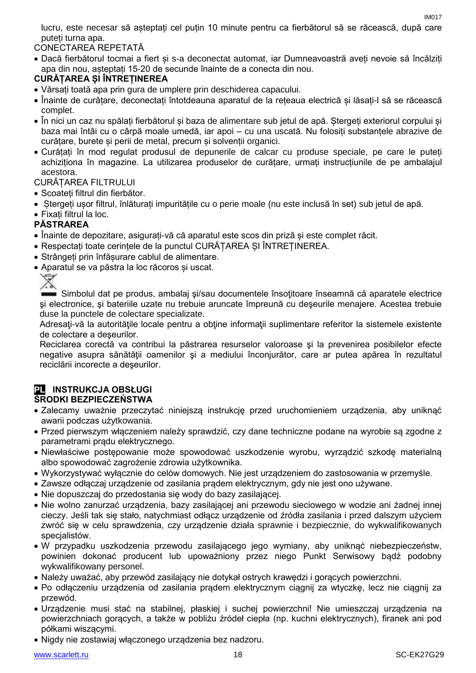lucru, este necesar să așteptați cel puțin 10 minute pentru ca fierbătorul să se răcească, după care puteți turna apa.

CONECTAREA REPETATĂ

 Dacă fierbătorul tocmai a fiert și s-a deconectat automat, iar Dumneavoastră aveți nevoie să încălziți apa din nou, așteptați 15-20 de secunde înainte de a conecta din nou.

# **CURĂȚAREA ȘI ÎNTREȚINEREA**

- Vărsați toată apa prin gura de umplere prin deschiderea capacului.
- Înainte de curățare, deconectați întotdeauna aparatul de la rețeaua electrică și lăsați-l să se răcească complet.
- În nici un caz nu spălați fierbătorul și baza de alimentare sub jetul de apă. Ștergeți exteriorul corpului și baza mai întâi cu o cârpă moale umedă, iar apoi – cu una uscată. Nu folosiți substanțele abrazive de curățare, burete și perii de metal, precum și solvenții organici.
- Curățați în mod regulat produsul de depunerile de calcar cu produse speciale, pe care le puteți achiziționa în magazine. La utilizarea produselor de curățare, urmați instrucțiunile de pe ambalajul acestora.

CURĂȚAREA FILTRULUI

- Scoateti filtrul din fierbător.
- Ștergeți ușor filtrul, înlăturați impuritățile cu o perie moale (nu este inclusă în set) sub jetul de apă.
- Fixați filtrul la loc.

# **PĂSTRAREA**

- Înainte de depozitare, asigurați-vă că aparatul este scos din priză și este complet răcit.
- Respectați toate cerințele de la punctul CURĂȚAREA ȘI ÎNTREȚINEREA.
- Strângeți prin înfășurare cablul de alimentare.
- Aparatul se va păstra la loc răcoros și uscat.



 $\blacksquare$  Simbolul dat pe produs, ambalaj si/sau documentele însotitoare înseamnă că aparatele electrice şi electronice, şi bateriile uzate nu trebuie aruncate împreună cu deşeurile menajere. Acestea trebuie duse la punctele de colectare specializate.

Adresați-vă la autoritățile locale pentru a obține informații suplimentare referitor la sistemele existente de colectare a deşeurilor.

Reciclarea corectă va contribui la păstrarea resurselor valoroase şi la prevenirea posibilelor efecte negative asupra sănătății oamenilor și a mediului înconjurător, care ar putea apărea în rezultatul reciclării incorecte a deşeurilor.

#### **PL INSTRUKCJA OBSŁUGI ŚRODKI BEZPIECZEŃSTWA**

- Zalecamy uważnie przeczytać niniejszą instrukcję przed uruchomieniem urządzenia, aby uniknąć awarii podczas użytkowania.
- Przed pierwszym włączeniem należy sprawdzić, czy dane techniczne podane na wyrobie są zgodne z parametrami prądu elektrycznego.
- Niewłaściwe postępowanie może spowodować uszkodzenie wyrobu, wyrządzić szkodę materialną albo spowodować zagrożenie zdrowia użytkownika.
- Wykorzystywać wyłącznie do celów domowych. Nie jest urządzeniem do zastosowania w przemyśle.
- Zawsze odłączaj urządzenie od zasilania prądem elektrycznym, gdy nie jest ono używane.
- Nie dopuszczaj do przedostania się wody do bazy zasilającej.
- Nie wolno zanurzać urządzenia, bazy zasilającej ani przewodu sieciowego w wodzie ani żadnej innej cieczy. Jeśli tak się stało, natychmiast odłącz urządzenie od źródła zasilania i przed dalszym użyciem zwróć się w celu sprawdzenia, czy urządzenie działa sprawnie i bezpiecznie, do wykwalifikowanych specjalistów.
- W przypadku uszkodzenia przewodu zasilającego jego wymiany, aby uniknąć niebezpieczeństw, powinien dokonać producent lub upoważniony przez niego Punkt Serwisowy bądź podobny wykwalifikowany personel.
- Należy uważać, aby przewód zasilający nie dotykał ostrych krawędzi i gorących powierzchni.
- Po odłączeniu urządzenia od zasilania prądem elektrycznym ciągnij za wtyczkę, lecz nie ciągnij za przewód.
- Urządzenie musi stać na stabilnej, płaskiej i suchej powierzchni! Nie umieszczaj urządzenia na powierzchniach gorących, a także w pobliżu źródeł ciepła (np. kuchni elektrycznych), firanek ani pod półkami wiszącymi.
- Nigdy nie zostawiaj włączonego urządzenia bez nadzoru.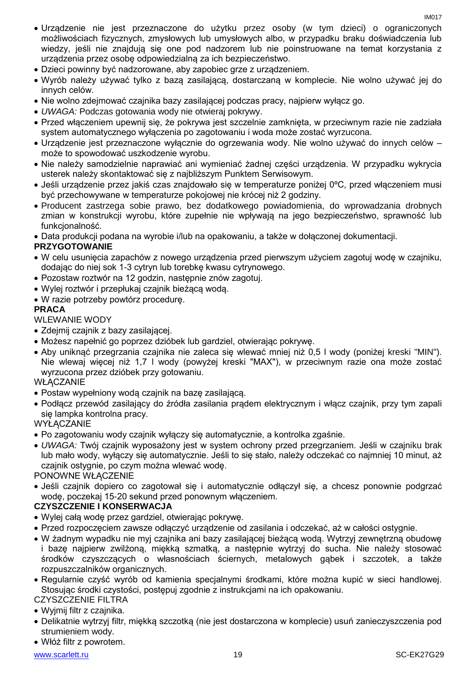- Urządzenie nie jest przeznaczone do użytku przez osoby (w tym dzieci) o ograniczonych możliwościach fizycznych, zmysłowych lub umysłowych albo, w przypadku braku doświadczenia lub wiedzy, jeśli nie znajdują się one pod nadzorem lub nie poinstruowane na temat korzystania z urządzenia przez osobę odpowiedzialną za ich bezpieczeństwo.
- Dzieci powinny być nadzorowane, aby zapobiec grze z urządzeniem.
- Wyrób należy używać tylko z bazą zasilającą, dostarczaną w komplecie. Nie wolno używać jej do innych celów.
- Nie wolno zdejmować czajnika bazy zasilającej podczas pracy, najpierw wyłącz go.
- *UWAGA:* Podczas gotowania wody nie otwieraj pokrywy.
- Przed włączeniem upewnij się, że pokrywa jest szczelnie zamknięta, w przeciwnym razie nie zadziała system automatycznego wyłączenia po zagotowaniu i woda może zostać wyrzucona.
- Urządzenie jest przeznaczone wyłącznie do ogrzewania wody. Nie wolno używać do innych celów może to spowodować uszkodzenie wyrobu.
- Nie należy samodzielnie naprawiać ani wymieniać żadnej części urządzenia. W przypadku wykrycia usterek należy skontaktować się z najbliższym Punktem Serwisowym.
- Jeśli urządzenie przez jakiś czas znajdowało się w temperaturze poniżej 0ºC, przed włączeniem musi być przechowywane w temperaturze pokojowej nie krócej niż 2 godziny.
- Producent zastrzega sobie prawo, bez dodatkowego powiadomienia, do wprowadzania drobnych zmian w konstrukcji wyrobu, które zupełnie nie wpływają na jego bezpieczeństwo, sprawność lub funkcjonalność.

Data produkcji podana na wyrobie i/lub na opakowaniu, a także w dołączonej dokumentacji.

# **PRZYGOTOWANIE**

- W celu usunięcia zapachów z nowego urządzenia przed pierwszym użyciem zagotuj wodę w czajniku, dodając do niej sok 1-3 cytryn lub torebkę kwasu cytrynowego.
- Pozostaw roztwór na 12 godzin, następnie znów zagotuj.
- Wylej roztwór i przepłukaj czajnik bieżącą wodą.
- W razie potrzeby powtórz procedurę.

### **PRACA**

# WLEWANIE WODY

- Zdejmij czajnik z bazy zasilającej.
- Możesz napełnić go poprzez dzióbek lub gardziel, otwierając pokrywę.
- Aby uniknąć przegrzania czajnika nie zaleca się wlewać mniej niż 0,5 l wody (poniżej kreski "MIN"). Nie wlewaj więcej niż 1,7 l wody (powyżej kreski "MAX"), w przeciwnym razie ona może zostać wyrzucona przez dzióbek przy gotowaniu.

#### **WŁACZANIE**

- Postaw wypełniony wodą czajnik na bazę zasilającą.
- Podłącz przewód zasilający do źródła zasilania prądem elektrycznym i włącz czajnik, przy tym zapali się lampka kontrolna pracy.

#### **WYŁACZANIE**

- Po zagotowaniu wody czajnik wyłączy się automatycznie, a kontrolka zgaśnie.
- *UWAGA:* Twój czajnik wyposażony jest w system ochrony przed przegrzaniem. Jeśli w czajniku brak lub mało wody, wyłączy się automatycznie. Jeśli to się stało, należy odczekać co najmniej 10 minut, aż czajnik ostygnie, po czym można wlewać wodę.

#### PONOWNE WŁĄCZENIE

 Jeśli czajnik dopiero co zagotował się i automatycznie odłączył się, a chcesz ponownie podgrzać wodę, poczekaj 15-20 sekund przed ponownym włączeniem.

# **CZYSZCZENIE I KONSERWACJA**

- Wylej całą wodę przez gardziel, otwierając pokrywę.
- Przed rozpoczęciem zawsze odłączyć urządzenie od zasilania i odczekać, aż w całości ostygnie.
- W żadnym wypadku nie myj czajnika ani bazy zasilającej bieżącą wodą. Wytrzyj zewnętrzną obudowę i bazę najpierw zwilżoną, miękką szmatką, a następnie wytrzyj do sucha. Nie należy stosować środków czyszczących o własnościach ściernych, metalowych gąbek i szczotek, a także rozpuszczalników organicznych.
- Regularnie czyść wyrób od kamienia specjalnymi środkami, które można kupić w sieci handlowej. Stosując środki czystości, postępuj zgodnie z instrukcjami na ich opakowaniu.

#### CZYSZCZENIE FILTRA

- Wyjmij filtr z czajnika.
- Delikatnie wytrzyj filtr, miękką szczotką (nie jest dostarczona w komplecie) usuń zanieczyszczenia pod strumieniem wody.
- Włóż filtr z powrotem.